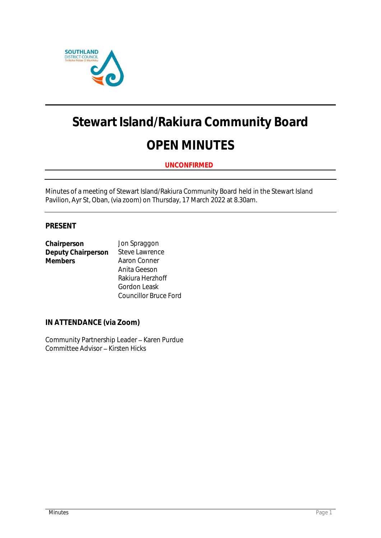

# **Stewart Island/Rakiura Community Board OPEN MINUTES**

**UNCONFIRMED**

Minutes of a meeting of Stewart Island/Rakiura Community Board held in the Stewart Island Pavilion, Ayr St, Oban, (via zoom) on Thursday, 17 March 2022 at 8.30am.

# **PRESENT**

| Chairperson        | Jon Spraggon          |
|--------------------|-----------------------|
| Deputy Chairperson | <b>Steve Lawrence</b> |
| <b>Members</b>     | Aaron Conner          |
|                    | Anita Geeson          |
|                    | Rakiura Herzhoff      |
|                    | Gordon Leask          |

**IN ATTENDANCE (via Zoom)**

Community Partnership Leader - Karen Purdue Committee Advisor - Kirsten Hicks

Councillor Bruce Ford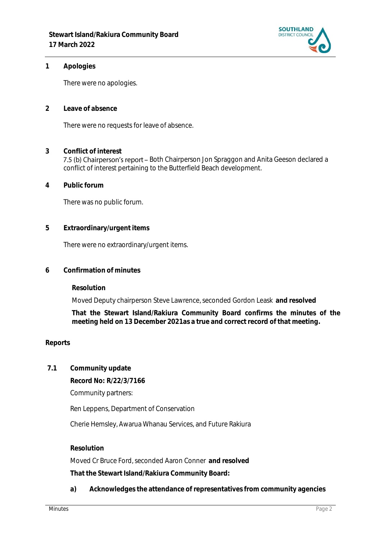

**1 Apologies** 

There were no apologies.

**2 Leave of absence** 

There were no requests for leave of absence.

- **3 Conflict of interest** 7.5 (b) Chairperson's report - Both Chairperson Jon Spraggon and Anita Geeson declared a conflict of interest pertaining to the Butterfield Beach development.
- **4 Public forum**

There was no public forum.

**5 Extraordinary/urgent items**

There were no extraordinary/urgent items.

**6 Confirmation of minutes**

**Resolution**

Moved Deputy chairperson Steve Lawrence, seconded Gordon Leask **and resolved**

**That the Stewart Island/Rakiura Community Board confirms the minutes of the meeting held on 13 December 2021as a true and correct record of that meeting.**

### **Reports**

**7.1 Community update**

**Record No: R/22/3/7166**

Community partners:

Ren Leppens, Department of Conservation

Cherie Hemsley, Awarua Whanau Services, and Future Rakiura

## **Resolution**

Moved Cr Bruce Ford, seconded Aaron Conner **and resolved That the Stewart Island/Rakiura Community Board:**

**a) Acknowledges the attendance of representatives from community agencies**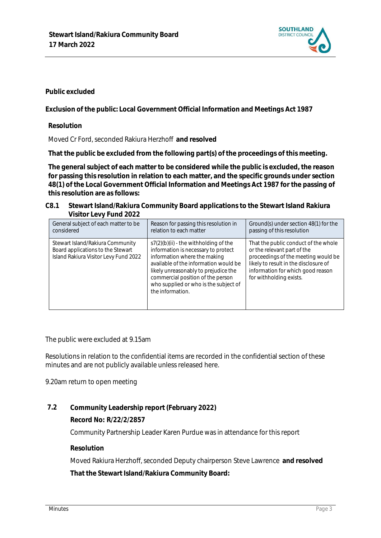

**Public excluded**

**Exclusion of the public: Local Government Official Information and Meetings Act 1987**

**Resolution**

Moved Cr Ford, seconded Rakiura Herzhoff **and resolved**

**That the public be excluded from the following part(s) of the proceedings of this meeting.**

**The general subject of each matter to be considered while the public is excluded, the reason for passing this resolution in relation to each matter, and the specific grounds under section 48(1) of the Local Government Official Information and Meetings Act 1987 for the passing of this resolution are as follows:**

#### **C8.1 Stewart Island/Rakiura Community Board applications to the Stewart Island Rakiura Visitor Levy Fund 2022**

| General subject of each matter to be                                                                           | Reason for passing this resolution in                                                                                                                                                                                                                                                             | Ground(s) under section 48(1) for the                                                                                                                                                                               |
|----------------------------------------------------------------------------------------------------------------|---------------------------------------------------------------------------------------------------------------------------------------------------------------------------------------------------------------------------------------------------------------------------------------------------|---------------------------------------------------------------------------------------------------------------------------------------------------------------------------------------------------------------------|
| considered                                                                                                     | relation to each matter                                                                                                                                                                                                                                                                           | passing of this resolution                                                                                                                                                                                          |
| Stewart Island/Rakiura Community<br>Board applications to the Stewart<br>Island Rakiura Visitor Levy Fund 2022 | $s7(2)(b)(ii)$ - the withholding of the<br>information is necessary to protect<br>information where the making<br>available of the information would be<br>likely unreasonably to prejudice the<br>commercial position of the person<br>who supplied or who is the subject of<br>the information. | That the public conduct of the whole<br>or the relevant part of the<br>proceedings of the meeting would be<br>likely to result in the disclosure of<br>information for which good reason<br>for withholding exists. |

The public were excluded at 9.15am

Resolutions in relation to the confidential items are recorded in the confidential section of these minutes and are not publicly available unless released here.

9.20am return to open meeting

**7.2 Community Leadership report (February 2022)**

**Record No: R/22/2/2857**

Community Partnership Leader Karen Purdue was in attendance for this report

**Resolution**

Moved Rakiura Herzhoff, seconded Deputy chairperson Steve Lawrence **and resolved That the Stewart Island/Rakiura Community Board:**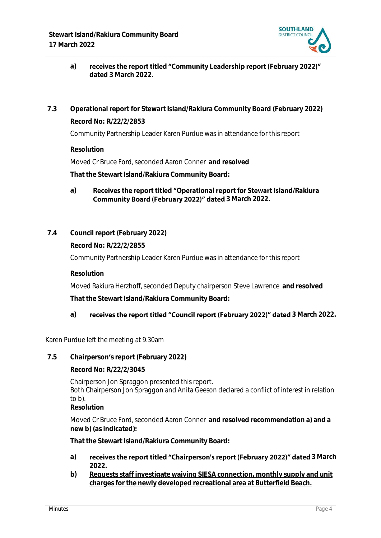

- receives the report titled "Community Leadership report (February 2022)" **a) dated 3 March 2022.**
- **7.3 Operational report for Stewart Island/Rakiura Community Board (February 2022) Record No: R/22/2/2853**

Community Partnership Leader Karen Purdue was in attendance for this report

**Resolution**

Moved Cr Bruce Ford, seconded Aaron Conner **and resolved**

**That the Stewart Island/Rakiura Community Board:**

- Receives the report titled "Operational report for Stewart Island/Rakiura **a) Community Board (February 2022)" dated 3 March 2022.**
- **7.4 Council report (February 2022)**

**Record No: R/22/2/2855**

Community Partnership Leader Karen Purdue was in attendance for this report

**Resolution**

Moved Rakiura Herzhoff, seconded Deputy chairperson Steve Lawrence **and resolved That the Stewart Island/Rakiura Community Board:**

## a) **receives the report titled "Council report (February 2022)" dated 3 March 2022.**

Karen Purdue left the meeting at 9.30am

**7.5 Chairperson s report (February 2022)**

**Record No: R/22/2/3045**

Chairperson Jon Spraggon presented this report.

Both Chairperson Jon Spraggon and Anita Geeson declared a conflict of interest in relation to b).

**Resolution**

Moved Cr Bruce Ford, seconded Aaron Conner **and resolved recommendation a) and a new b) (as indicated):**

**That the Stewart Island/Rakiura Community Board:**

- a) **receives the report titled "Chairperson's report (February 2022)" dated 3 March 2022.**
- **b) Requests staff investigate waiving SIESA connection, monthly supply and unit charges for the newly developed recreational area at Butterfield Beach.**